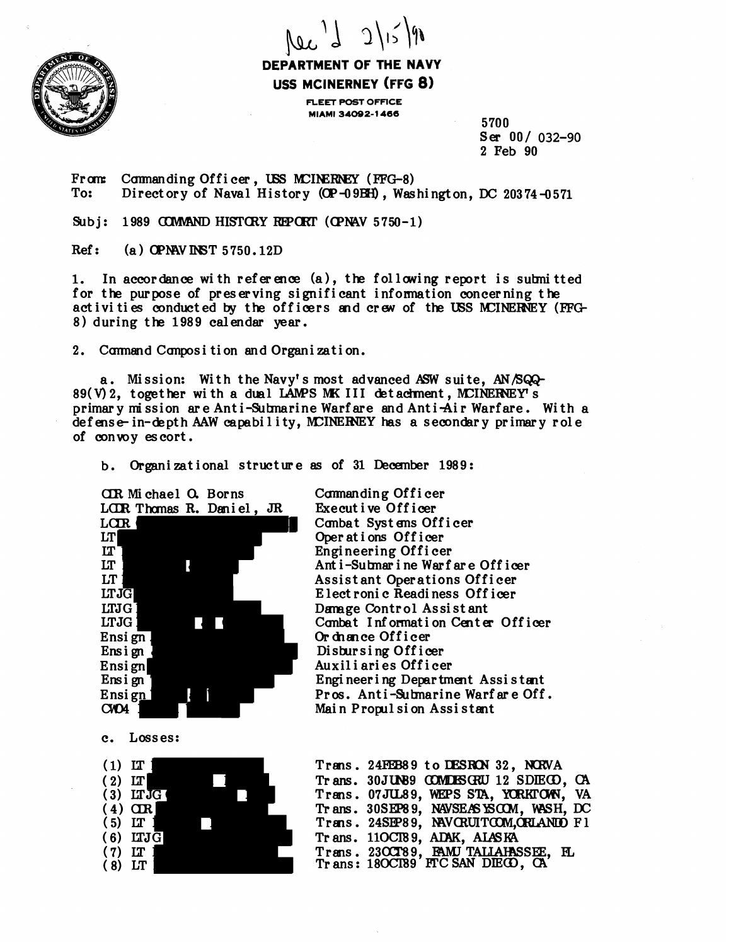$Re^{1}21519$ 



DEPARTMENT OF THE NAVY USS MCINERNEY (FFG 8)

> **FLEET POST OFFICE** MIAMI 34092-1466

5700 Ser 00/032-90 2 Feb 90

From: Commanding Officer, USS MCINERNEY (FFG-8) To: Directory of Naval History (OP-09EH), Washington, DC 20374-0571

1989 COMMAND HISTORY REPORT (OPNAV 5750-1) Subi:

 $Ref:$  $(a)$  OPNAVINST 5750.12D

1. In accordance with reference (a), the following report is submitted for the purpose of preserving significant information concerning the activities conducted by the officers and crew of the USS MCINERNEY (FFG-8) during the 1989 calendar year.

2. Command Composition and Organization.

a. Mission: With the Navy's most advanced ASW suite, AN/SQQ-89(V) 2, together with a dual LAMPS MK III detachment, MCINERNEY's primary mission are Anti-Submarine Warfare and Anti-Air Warfare. With a defense-in-depth AAW capability, MCINERNEY has a secondary primary role of convoy escort.

b. Organizational structure as of 31 December 1989:

CIR Michael Q. Borns Commanding Officer LCLR Thomas R. Daniel, JR Executive Officer LCIR<sup>(</sup> Combat Systems Officer LT Oper at i ons Officer  $LT$ Engineering Officer  $LT$ Ant i-Submar i ne Warf are Officer LT Assistant Operations Officer Electronic Readiness Officer **LTJG** LTJG] Damage Control Assistant LTJG : Combat Information Center Officer Or chance Officer Ensign Disbursing Officer Ensign Auxiliaries Officer Ensign Engineering Department Assistant Ensign Pros. Anti-Submarine Warf are Off. Ensign $\lfloor$ Main Propulsion Assistant CXD4 c. Losses:  $(1)$  LT Trans. 24FEB89 to DESRON 32, NORVA  $(2)$  IT Tr ans. 30JUNB9 COMDESGRU 12 SDIECO, CA Trans. 07JU89, WEPS STA, YORKTOWN, VA  $(3)$  LTJ $\overline{G}$  $(4)$  CIR Tr ans. 30SEP89, NAVSEAS YSCOM, WASH, DC  $(5)$  LT Trans. 24SEP89, NAVORUITOOM,ORLANDO F1 Tr ans. 11OCT89, ADAK, ALASKA  $(6)$  LTJ $\overline{G}$ Trans. 23OCT89, FAMU TALLAHASSEE, FL<br>Trans: 18OCT89 FTC SAN DIECO, CA  $(7)$  LT  $(8)$  LT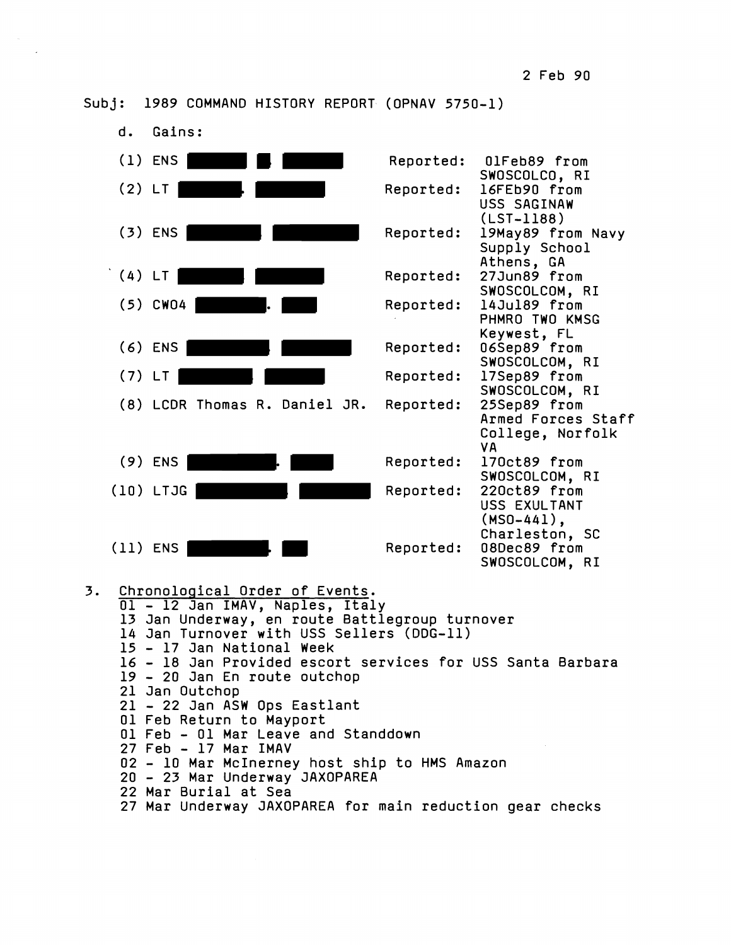Subj: 1989 COMMAND HISTORY REPORT (OPNAV 5750-1)



- 21 Jan Outchop
	- 21 22 Jan ASW Ops Eastlant
	- 01 Feb Return to Mayport
	- 01 Feb 01 Mar Leave and Standdown
	- 27 Feb 17 Mar IMAV
	- 02 10 Mar McInerney host ship to HMS Amazon
	- 20 23 Mar Underway JAXOPAREA
	- 22 Mar Burial at Sea
	- 27 Mar Underway JAXOPAREA for main reduction gear checks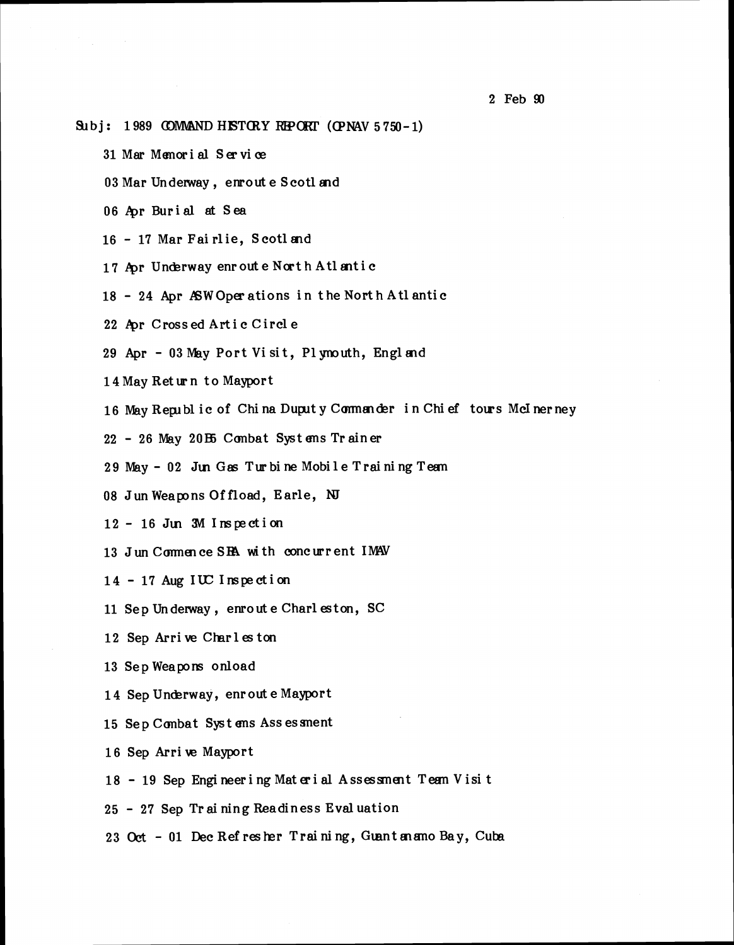- $\text{Subj}: 1989$  COMAND HISTORY REPORT (OPNAV 5750-1)
	- 31 Mar Menorial Service
	- 03 Mar Underway, enrout e Scotl and
	- 06 Apr Burial at Sea
	- 16 17 Mar Fairlie, Scotland
	- 17 Apr Underway enroute North Atlantic
	- 18 24 Apr ASW Operations in the North Atlantic
	- 22 Apr Crossed Artic Circle
	- 29 Apr 03 May Port Visit, Plymouth, England
	- 14 May Return to Mayport
	- 16 May Republic of China Duputy Commander in Chief tours McInerney
	- 22 26 May 20 B5 Combat Systems Trainer
	- 29 May 02 Jun Gas Turbine Mobile Training Team
	- 08 Jun Weapons Offload, Earle, NJ
	- $12 16$  Jun 3M Inspection
	- 13 Jun Commence SPA with concurrent IMAV
	- 14 17 Aug IUC Inspection
	- 11 Sep Underway, enroute Charleston, SC
	- 12 Sep Arrive Charleston
	- 13 Sep Weapons onload
	- 14 Sep Underway, enrout e Mayport
	- 15 Sep Combat Systems Assessment
	- 16 Sep Arrive Mayport
	- 18 19 Sep Engineering Material Assessment Team Visit
	- 25 27 Sep Training Readiness Evaluation
	- 23 Oct 01 Dec Refresher Training, Guantanamo Bay, Cuba